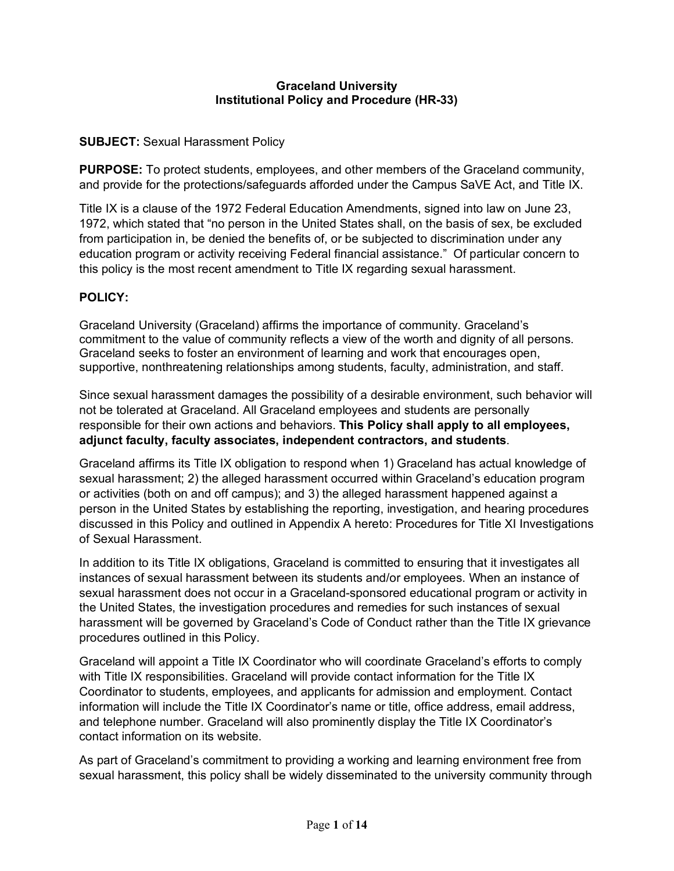#### **Graceland University Institutional Policy and Procedure (HR-33)**

### **SUBJECT:** Sexual Harassment Policy

**PURPOSE:** To protect students, employees, and other members of the Graceland community, and provide for the protections/safeguards afforded under the Campus SaVE Act, and Title IX.

Title IX is a clause of the 1972 Federal Education Amendments, signed into law on June 23, 1972, which stated that "no person in the United States shall, on the basis of sex, be excluded from participation in, be denied the benefits of, or be subjected to discrimination under any education program or activity receiving Federal financial assistance." Of particular concern to this policy is the most recent amendment to Title IX regarding sexual harassment.

### **POLICY:**

Graceland University (Graceland) affirms the importance of community. Graceland's commitment to the value of community reflects a view of the worth and dignity of all persons. Graceland seeks to foster an environment of learning and work that encourages open, supportive, nonthreatening relationships among students, faculty, administration, and staff.

Since sexual harassment damages the possibility of a desirable environment, such behavior will not be tolerated at Graceland. All Graceland employees and students are personally responsible for their own actions and behaviors. **This Policy shall apply to all employees, adjunct faculty, faculty associates, independent contractors, and students**.

Graceland affirms its Title IX obligation to respond when 1) Graceland has actual knowledge of sexual harassment; 2) the alleged harassment occurred within Graceland's education program or activities (both on and off campus); and 3) the alleged harassment happened against a person in the United States by establishing the reporting, investigation, and hearing procedures discussed in this Policy and outlined in Appendix A hereto: Procedures for Title XI Investigations of Sexual Harassment.

In addition to its Title IX obligations, Graceland is committed to ensuring that it investigates all instances of sexual harassment between its students and/or employees. When an instance of sexual harassment does not occur in a Graceland-sponsored educational program or activity in the United States, the investigation procedures and remedies for such instances of sexual harassment will be governed by Graceland's Code of Conduct rather than the Title IX grievance procedures outlined in this Policy.

Graceland will appoint a Title IX Coordinator who will coordinate Graceland's efforts to comply with Title IX responsibilities. Graceland will provide contact information for the Title IX Coordinator to students, employees, and applicants for admission and employment. Contact information will include the Title IX Coordinator's name or title, office address, email address, and telephone number. Graceland will also prominently display the Title IX Coordinator's contact information on its website.

As part of Graceland's commitment to providing a working and learning environment free from sexual harassment, this policy shall be widely disseminated to the university community through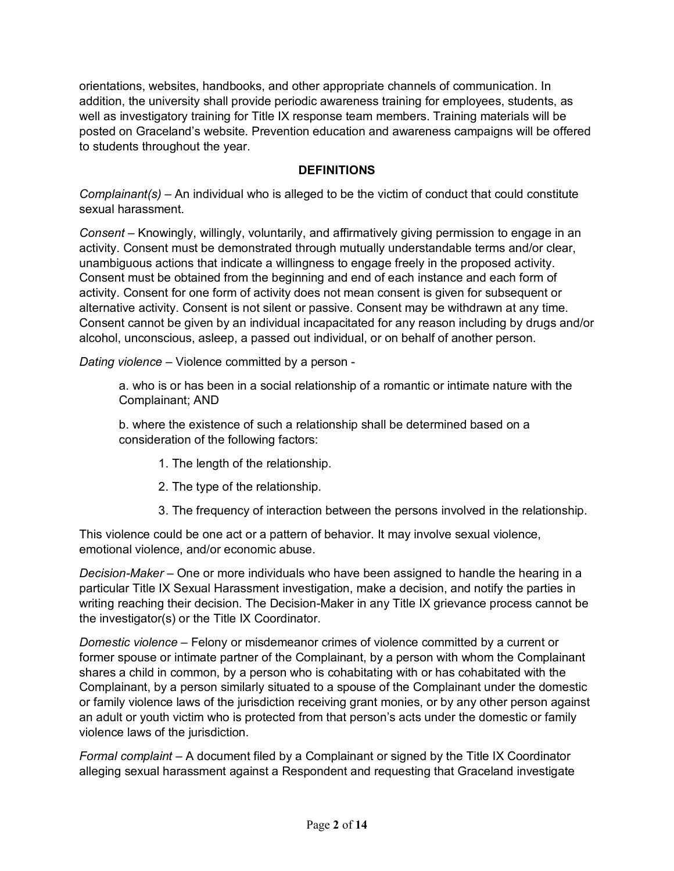orientations, websites, handbooks, and other appropriate channels of communication. In addition, the university shall provide periodic awareness training for employees, students, as well as investigatory training for Title IX response team members. Training materials will be posted on Graceland's website. Prevention education and awareness campaigns will be offered to students throughout the year.

### **DEFINITIONS**

*Complainant(s)* – An individual who is alleged to be the victim of conduct that could constitute sexual harassment.

*Consent* – Knowingly, willingly, voluntarily, and affirmatively giving permission to engage in an activity. Consent must be demonstrated through mutually understandable terms and/or clear, unambiguous actions that indicate a willingness to engage freely in the proposed activity. Consent must be obtained from the beginning and end of each instance and each form of activity. Consent for one form of activity does not mean consent is given for subsequent or alternative activity. Consent is not silent or passive. Consent may be withdrawn at any time. Consent cannot be given by an individual incapacitated for any reason including by drugs and/or alcohol, unconscious, asleep, a passed out individual, or on behalf of another person.

*Dating violence* – Violence committed by a person -

a. who is or has been in a social relationship of a romantic or intimate nature with the Complainant; AND

b. where the existence of such a relationship shall be determined based on a consideration of the following factors:

- 1. The length of the relationship.
- 2. The type of the relationship.
- 3. The frequency of interaction between the persons involved in the relationship.

This violence could be one act or a pattern of behavior. It may involve sexual violence, emotional violence, and/or economic abuse.

*Decision-Maker* – One or more individuals who have been assigned to handle the hearing in a particular Title IX Sexual Harassment investigation, make a decision, and notify the parties in writing reaching their decision. The Decision-Maker in any Title IX grievance process cannot be the investigator(s) or the Title IX Coordinator.

*Domestic violence* – Felony or misdemeanor crimes of violence committed by a current or former spouse or intimate partner of the Complainant, by a person with whom the Complainant shares a child in common, by a person who is cohabitating with or has cohabitated with the Complainant, by a person similarly situated to a spouse of the Complainant under the domestic or family violence laws of the jurisdiction receiving grant monies, or by any other person against an adult or youth victim who is protected from that person's acts under the domestic or family violence laws of the jurisdiction.

*Formal complaint –* A document filed by a Complainant or signed by the Title IX Coordinator alleging sexual harassment against a Respondent and requesting that Graceland investigate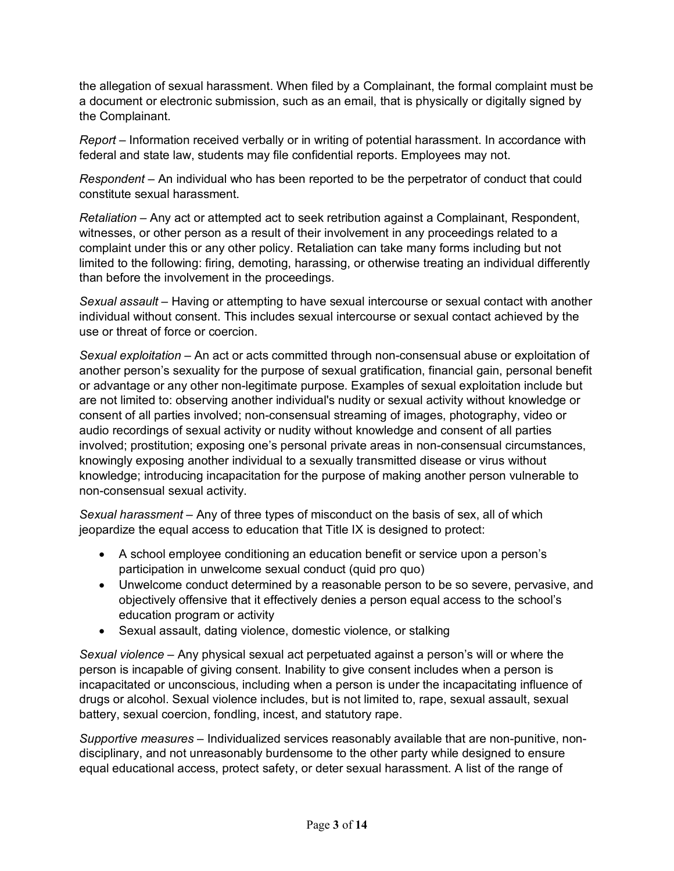the allegation of sexual harassment. When filed by a Complainant, the formal complaint must be a document or electronic submission, such as an email, that is physically or digitally signed by the Complainant.

*Report* – Information received verbally or in writing of potential harassment. In accordance with federal and state law, students may file confidential reports. Employees may not.

*Respondent* – An individual who has been reported to be the perpetrator of conduct that could constitute sexual harassment.

*Retaliation* – Any act or attempted act to seek retribution against a Complainant, Respondent, witnesses, or other person as a result of their involvement in any proceedings related to a complaint under this or any other policy. Retaliation can take many forms including but not limited to the following: firing, demoting, harassing, or otherwise treating an individual differently than before the involvement in the proceedings.

*Sexual assault* – Having or attempting to have sexual intercourse or sexual contact with another individual without consent. This includes sexual intercourse or sexual contact achieved by the use or threat of force or coercion.

*Sexual exploitation* – An act or acts committed through non-consensual abuse or exploitation of another person's sexuality for the purpose of sexual gratification, financial gain, personal benefit or advantage or any other non-legitimate purpose. Examples of sexual exploitation include but are not limited to: observing another individual's nudity or sexual activity without knowledge or consent of all parties involved; non-consensual streaming of images, photography, video or audio recordings of sexual activity or nudity without knowledge and consent of all parties involved; prostitution; exposing one's personal private areas in non-consensual circumstances, knowingly exposing another individual to a sexually transmitted disease or virus without knowledge; introducing incapacitation for the purpose of making another person vulnerable to non-consensual sexual activity.

*Sexual harassment* – Any of three types of misconduct on the basis of sex, all of which jeopardize the equal access to education that Title IX is designed to protect:

- A school employee conditioning an education benefit or service upon a person's participation in unwelcome sexual conduct (quid pro quo)
- Unwelcome conduct determined by a reasonable person to be so severe, pervasive, and objectively offensive that it effectively denies a person equal access to the school's education program or activity
- Sexual assault, dating violence, domestic violence, or stalking

*Sexual violence* – Any physical sexual act perpetuated against a person's will or where the person is incapable of giving consent. Inability to give consent includes when a person is incapacitated or unconscious, including when a person is under the incapacitating influence of drugs or alcohol. Sexual violence includes, but is not limited to, rape, sexual assault, sexual battery, sexual coercion, fondling, incest, and statutory rape.

*Supportive measures* – Individualized services reasonably available that are non-punitive, nondisciplinary, and not unreasonably burdensome to the other party while designed to ensure equal educational access, protect safety, or deter sexual harassment. A list of the range of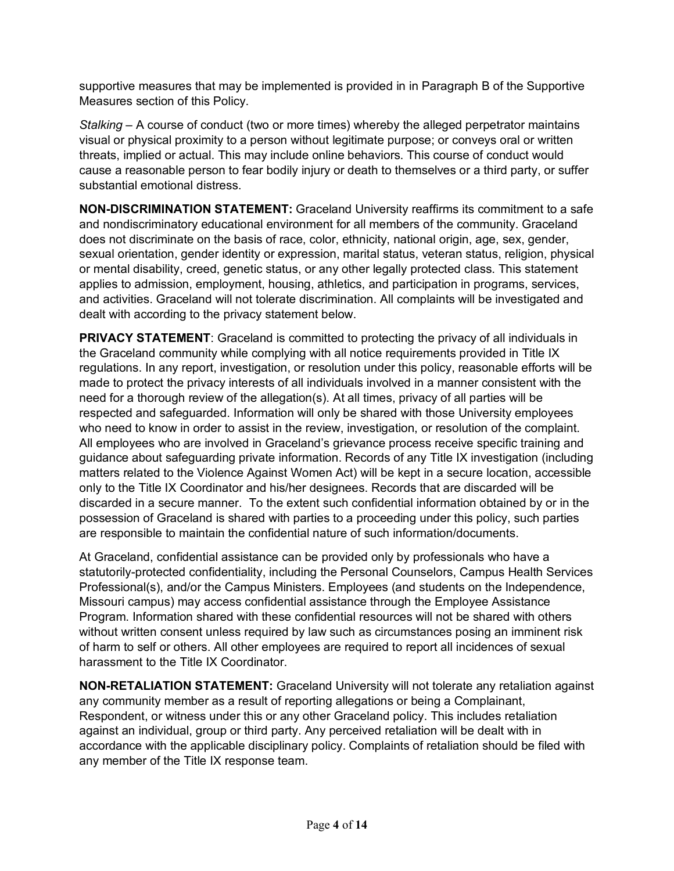supportive measures that may be implemented is provided in in Paragraph B of the Supportive Measures section of this Policy.

*Stalking* – A course of conduct (two or more times) whereby the alleged perpetrator maintains visual or physical proximity to a person without legitimate purpose; or conveys oral or written threats, implied or actual. This may include online behaviors. This course of conduct would cause a reasonable person to fear bodily injury or death to themselves or a third party, or suffer substantial emotional distress.

**NON-DISCRIMINATION STATEMENT:** Graceland University reaffirms its commitment to a safe and nondiscriminatory educational environment for all members of the community. Graceland does not discriminate on the basis of race, color, ethnicity, national origin, age, sex, gender, sexual orientation, gender identity or expression, marital status, veteran status, religion, physical or mental disability, creed, genetic status, or any other legally protected class. This statement applies to admission, employment, housing, athletics, and participation in programs, services, and activities. Graceland will not tolerate discrimination. All complaints will be investigated and dealt with according to the privacy statement below.

**PRIVACY STATEMENT:** Graceland is committed to protecting the privacy of all individuals in the Graceland community while complying with all notice requirements provided in Title IX regulations. In any report, investigation, or resolution under this policy, reasonable efforts will be made to protect the privacy interests of all individuals involved in a manner consistent with the need for a thorough review of the allegation(s). At all times, privacy of all parties will be respected and safeguarded. Information will only be shared with those University employees who need to know in order to assist in the review, investigation, or resolution of the complaint. All employees who are involved in Graceland's grievance process receive specific training and guidance about safeguarding private information. Records of any Title IX investigation (including matters related to the Violence Against Women Act) will be kept in a secure location, accessible only to the Title IX Coordinator and his/her designees. Records that are discarded will be discarded in a secure manner. To the extent such confidential information obtained by or in the possession of Graceland is shared with parties to a proceeding under this policy, such parties are responsible to maintain the confidential nature of such information/documents.

At Graceland, confidential assistance can be provided only by professionals who have a statutorily-protected confidentiality, including the Personal Counselors, Campus Health Services Professional(s), and/or the Campus Ministers. Employees (and students on the Independence, Missouri campus) may access confidential assistance through the Employee Assistance Program. Information shared with these confidential resources will not be shared with others without written consent unless required by law such as circumstances posing an imminent risk of harm to self or others. All other employees are required to report all incidences of sexual harassment to the Title IX Coordinator.

**NON-RETALIATION STATEMENT:** Graceland University will not tolerate any retaliation against any community member as a result of reporting allegations or being a Complainant, Respondent, or witness under this or any other Graceland policy. This includes retaliation against an individual, group or third party. Any perceived retaliation will be dealt with in accordance with the applicable disciplinary policy. Complaints of retaliation should be filed with any member of the Title IX response team.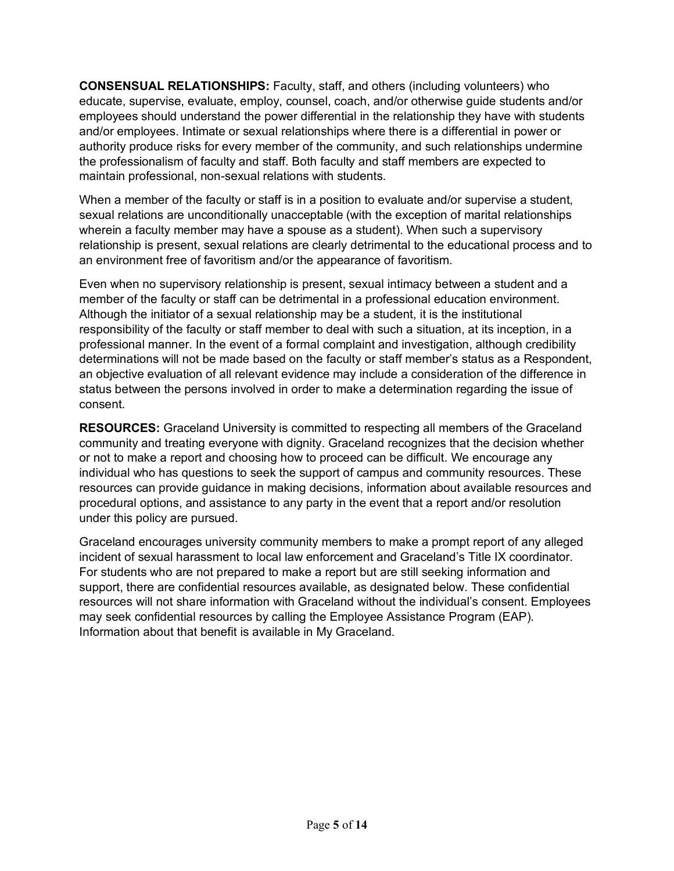**CONSENSUAL RELATIONSHIPS:** Faculty, staff, and others (including volunteers) who educate, supervise, evaluate, employ, counsel, coach, and/or otherwise guide students and/or employees should understand the power differential in the relationship they have with students and/or employees. Intimate or sexual relationships where there is a differential in power or authority produce risks for every member of the community, and such relationships undermine the professionalism of faculty and staff. Both faculty and staff members are expected to maintain professional, non-sexual relations with students.

When a member of the faculty or staff is in a position to evaluate and/or supervise a student, sexual relations are unconditionally unacceptable (with the exception of marital relationships wherein a faculty member may have a spouse as a student). When such a supervisory relationship is present, sexual relations are clearly detrimental to the educational process and to an environment free of favoritism and/or the appearance of favoritism.

Even when no supervisory relationship is present, sexual intimacy between a student and a member of the faculty or staff can be detrimental in a professional education environment. Although the initiator of a sexual relationship may be a student, it is the institutional responsibility of the faculty or staff member to deal with such a situation, at its inception, in a professional manner. In the event of a formal complaint and investigation, although credibility determinations will not be made based on the faculty or staff member's status as a Respondent, an objective evaluation of all relevant evidence may include a consideration of the difference in status between the persons involved in order to make a determination regarding the issue of consent.

**RESOURCES:** Graceland University is committed to respecting all members of the Graceland community and treating everyone with dignity. Graceland recognizes that the decision whether or not to make a report and choosing how to proceed can be difficult. We encourage any individual who has questions to seek the support of campus and community resources. These resources can provide guidance in making decisions, information about available resources and procedural options, and assistance to any party in the event that a report and/or resolution under this policy are pursued.

Graceland encourages university community members to make a prompt report of any alleged incident of sexual harassment to local law enforcement and Graceland's Title IX coordinator. For students who are not prepared to make a report but are still seeking information and support, there are confidential resources available, as designated below. These confidential resources will not share information with Graceland without the individual's consent. Employees may seek confidential resources by calling the Employee Assistance Program (EAP). Information about that benefit is available in My Graceland.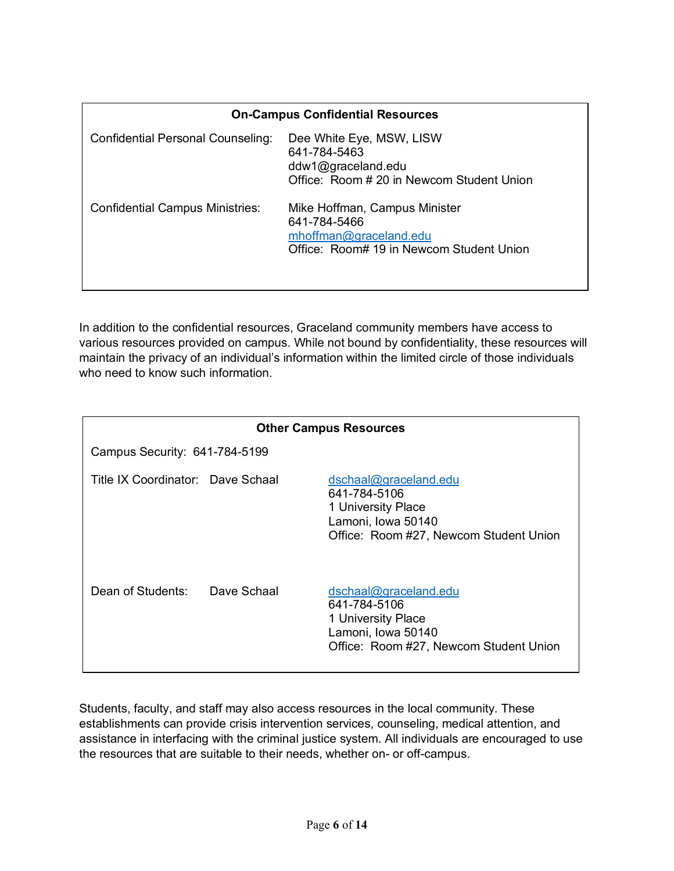| <b>On-Campus Confidential Resources</b> |                                                                                                                     |  |  |  |
|-----------------------------------------|---------------------------------------------------------------------------------------------------------------------|--|--|--|
| Confidential Personal Counseling:       | Dee White Eye, MSW, LISW<br>641-784-5463<br>ddw1@graceland.edu<br>Office: Room # 20 in Newcom Student Union         |  |  |  |
| <b>Confidential Campus Ministries:</b>  | Mike Hoffman, Campus Minister<br>641-784-5466<br>mhoffman@graceland.edu<br>Office: Room# 19 in Newcom Student Union |  |  |  |

In addition to the confidential resources, Graceland community members have access to various resources provided on campus. While not bound by confidentiality, these resources will maintain the privacy of an individual's information within the limited circle of those individuals who need to know such information.

| <b>Other Campus Resources</b>     |             |                                                                                                                             |  |  |  |
|-----------------------------------|-------------|-----------------------------------------------------------------------------------------------------------------------------|--|--|--|
| Campus Security: 641-784-5199     |             |                                                                                                                             |  |  |  |
| Title IX Coordinator: Dave Schaal |             | dschaal@graceland.edu<br>641-784-5106<br>1 University Place<br>Lamoni, Iowa 50140<br>Office: Room #27, Newcom Student Union |  |  |  |
| Dean of Students:                 | Dave Schaal | dschaal@graceland.edu<br>641-784-5106<br>1 University Place<br>Lamoni, Iowa 50140<br>Office: Room #27, Newcom Student Union |  |  |  |

Students, faculty, and staff may also access resources in the local community. These establishments can provide crisis intervention services, counseling, medical attention, and assistance in interfacing with the criminal justice system. All individuals are encouraged to use the resources that are suitable to their needs, whether on- or off-campus.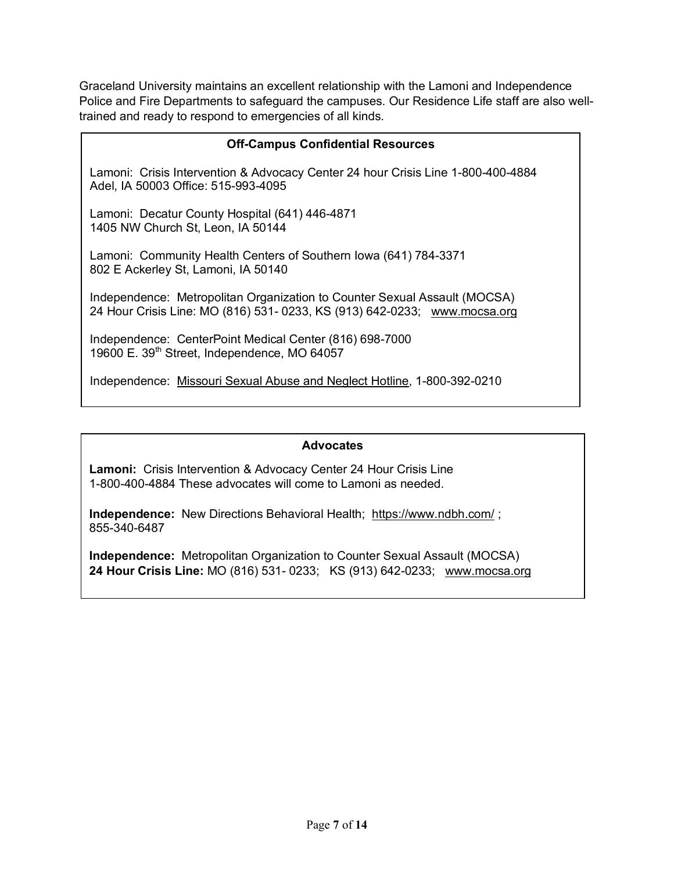Graceland University maintains an excellent relationship with the Lamoni and Independence Police and Fire Departments to safeguard the campuses. Our Residence Life staff are also welltrained and ready to respond to emergencies of all kinds.

| <b>Off-Campus Confidential Resources</b>                                                                                                               |  |  |  |
|--------------------------------------------------------------------------------------------------------------------------------------------------------|--|--|--|
| Lamoni: Crisis Intervention & Advocacy Center 24 hour Crisis Line 1-800-400-4884<br>Adel, IA 50003 Office: 515-993-4095                                |  |  |  |
| Lamoni: Decatur County Hospital (641) 446-4871<br>1405 NW Church St, Leon, IA 50144                                                                    |  |  |  |
| Lamoni: Community Health Centers of Southern Iowa (641) 784-3371<br>802 E Ackerley St, Lamoni, IA 50140                                                |  |  |  |
| Independence: Metropolitan Organization to Counter Sexual Assault (MOCSA)<br>24 Hour Crisis Line: MO (816) 531- 0233, KS (913) 642-0233; www.mocsa.org |  |  |  |
| Independence: CenterPoint Medical Center (816) 698-7000<br>19600 E. 39th Street, Independence, MO 64057                                                |  |  |  |
| Independence: Missouri Sexual Abuse and Neglect Hotline, 1-800-392-0210                                                                                |  |  |  |

#### **Advocates**

**Lamoni:** Crisis Intervention & Advocacy Center 24 Hour Crisis Line 1-800-400-4884 These advocates will come to Lamoni as needed.

**Independence:** New Directions Behavioral Health; https://www.ndbh.com/ ; 855-340-6487

**Independence:** Metropolitan Organization to Counter Sexual Assault (MOCSA) **24 Hour Crisis Line:** MO (816) 531- 0233; KS (913) 642-0233; www.mocsa.org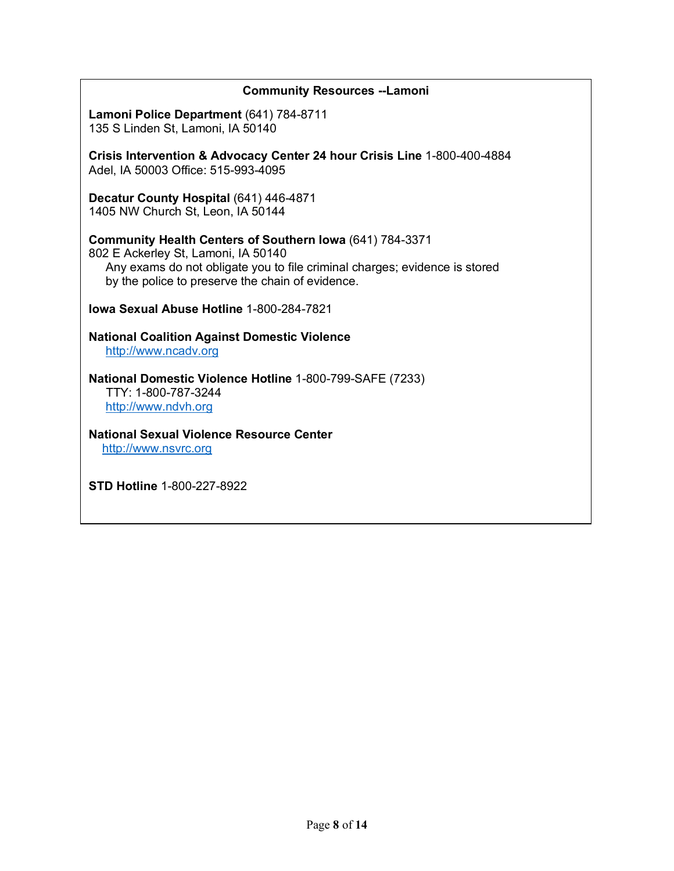| <b>Community Resources --Lamoni</b>                                                                                                                                                                                                      |
|------------------------------------------------------------------------------------------------------------------------------------------------------------------------------------------------------------------------------------------|
| Lamoni Police Department (641) 784-8711<br>135 S Linden St, Lamoni, IA 50140                                                                                                                                                             |
| Crisis Intervention & Advocacy Center 24 hour Crisis Line 1-800-400-4884<br>Adel, IA 50003 Office: 515-993-4095                                                                                                                          |
| Decatur County Hospital (641) 446-4871<br>1405 NW Church St, Leon, IA 50144                                                                                                                                                              |
| <b>Community Health Centers of Southern Iowa (641) 784-3371</b><br>802 E Ackerley St, Lamoni, IA 50140<br>Any exams do not obligate you to file criminal charges; evidence is stored<br>by the police to preserve the chain of evidence. |
| <b>Jowa Sexual Abuse Hotline 1-800-284-7821</b>                                                                                                                                                                                          |
| <b>National Coalition Against Domestic Violence</b><br>http://www.ncadv.org                                                                                                                                                              |
| National Domestic Violence Hotline 1-800-799-SAFE (7233)<br>TTY: 1-800-787-3244<br>http://www.ndvh.org                                                                                                                                   |
| <b>National Sexual Violence Resource Center</b><br>http://www.nsvrc.org                                                                                                                                                                  |

**STD Hotline** 1-800-227-8922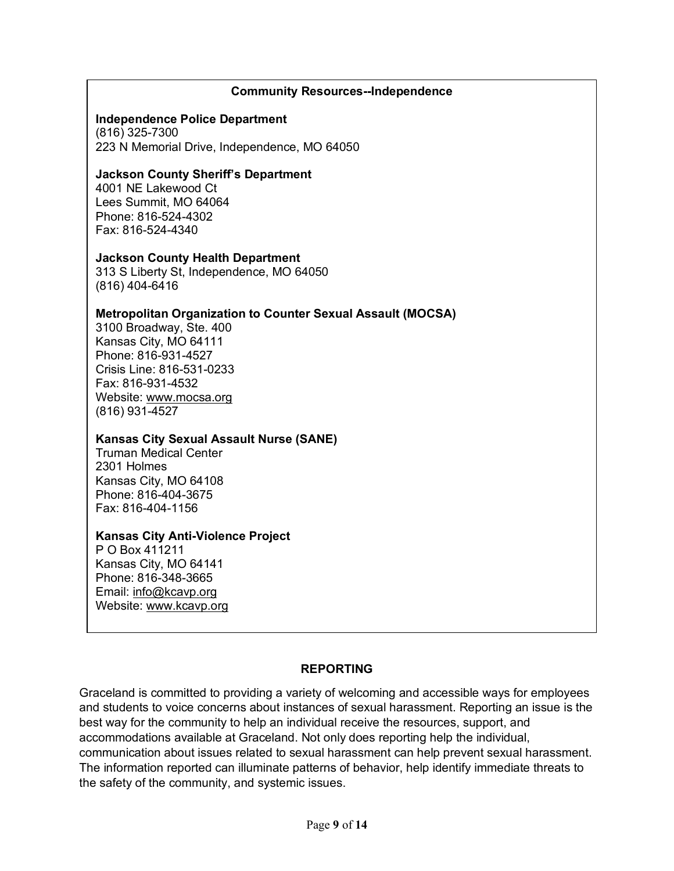#### **Community Resources--Independence**

#### **Independence Police Department**

(816) 325-7300 223 N Memorial Drive, Independence, MO 64050

#### **Jackson County Sheriff's Department**

4001 NE Lakewood Ct Lees Summit, MO 64064 Phone: 816-524-4302 Fax: 816-524-4340

#### **Jackson County Health Department**

313 S Liberty St, Independence, MO 64050 (816) 404-6416

#### **Metropolitan Organization to Counter Sexual Assault (MOCSA)**

3100 Broadway, Ste. 400 Kansas City, MO 64111 Phone: 816-931-4527 Crisis Line: 816-531-0233 Fax: 816-931-4532 Website: www.mocsa.org (816) 931-4527

#### **Kansas City Sexual Assault Nurse (SANE)**

Truman Medical Center 2301 Holmes Kansas City, MO 64108 Phone: 816-404-3675 Fax: 816-404-1156

#### **Kansas City Anti-Violence Project**

P O Box 411211 Kansas City, MO 64141 Phone: 816-348-3665 Email: info@kcavp.org Website: www.kcavp.org

### **REPORTING**

Graceland is committed to providing a variety of welcoming and accessible ways for employees and students to voice concerns about instances of sexual harassment. Reporting an issue is the best way for the community to help an individual receive the resources, support, and accommodations available at Graceland. Not only does reporting help the individual, communication about issues related to sexual harassment can help prevent sexual harassment. The information reported can illuminate patterns of behavior, help identify immediate threats to the safety of the community, and systemic issues.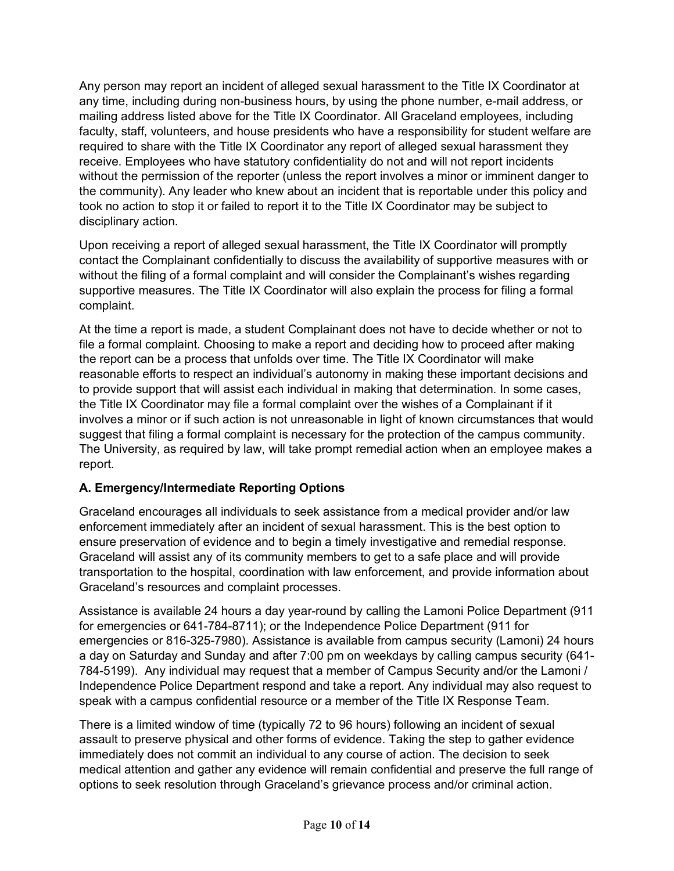Any person may report an incident of alleged sexual harassment to the Title IX Coordinator at any time, including during non-business hours, by using the phone number, e-mail address, or mailing address listed above for the Title IX Coordinator. All Graceland employees, including faculty, staff, volunteers, and house presidents who have a responsibility for student welfare are required to share with the Title IX Coordinator any report of alleged sexual harassment they receive. Employees who have statutory confidentiality do not and will not report incidents without the permission of the reporter (unless the report involves a minor or imminent danger to the community). Any leader who knew about an incident that is reportable under this policy and took no action to stop it or failed to report it to the Title IX Coordinator may be subject to disciplinary action.

Upon receiving a report of alleged sexual harassment, the Title IX Coordinator will promptly contact the Complainant confidentially to discuss the availability of supportive measures with or without the filing of a formal complaint and will consider the Complainant's wishes regarding supportive measures. The Title IX Coordinator will also explain the process for filing a formal complaint.

At the time a report is made, a student Complainant does not have to decide whether or not to file a formal complaint. Choosing to make a report and deciding how to proceed after making the report can be a process that unfolds over time. The Title IX Coordinator will make reasonable efforts to respect an individual's autonomy in making these important decisions and to provide support that will assist each individual in making that determination. In some cases, the Title IX Coordinator may file a formal complaint over the wishes of a Complainant if it involves a minor or if such action is not unreasonable in light of known circumstances that would suggest that filing a formal complaint is necessary for the protection of the campus community. The University, as required by law, will take prompt remedial action when an employee makes a report.

### **A. Emergency/Intermediate Reporting Options**

Graceland encourages all individuals to seek assistance from a medical provider and/or law enforcement immediately after an incident of sexual harassment. This is the best option to ensure preservation of evidence and to begin a timely investigative and remedial response. Graceland will assist any of its community members to get to a safe place and will provide transportation to the hospital, coordination with law enforcement, and provide information about Graceland's resources and complaint processes.

Assistance is available 24 hours a day year-round by calling the Lamoni Police Department (911 for emergencies or 641-784-8711); or the Independence Police Department (911 for emergencies or 816-325-7980). Assistance is available from campus security (Lamoni) 24 hours a day on Saturday and Sunday and after 7:00 pm on weekdays by calling campus security (641- 784-5199). Any individual may request that a member of Campus Security and/or the Lamoni / Independence Police Department respond and take a report. Any individual may also request to speak with a campus confidential resource or a member of the Title IX Response Team.

There is a limited window of time (typically 72 to 96 hours) following an incident of sexual assault to preserve physical and other forms of evidence. Taking the step to gather evidence immediately does not commit an individual to any course of action. The decision to seek medical attention and gather any evidence will remain confidential and preserve the full range of options to seek resolution through Graceland's grievance process and/or criminal action.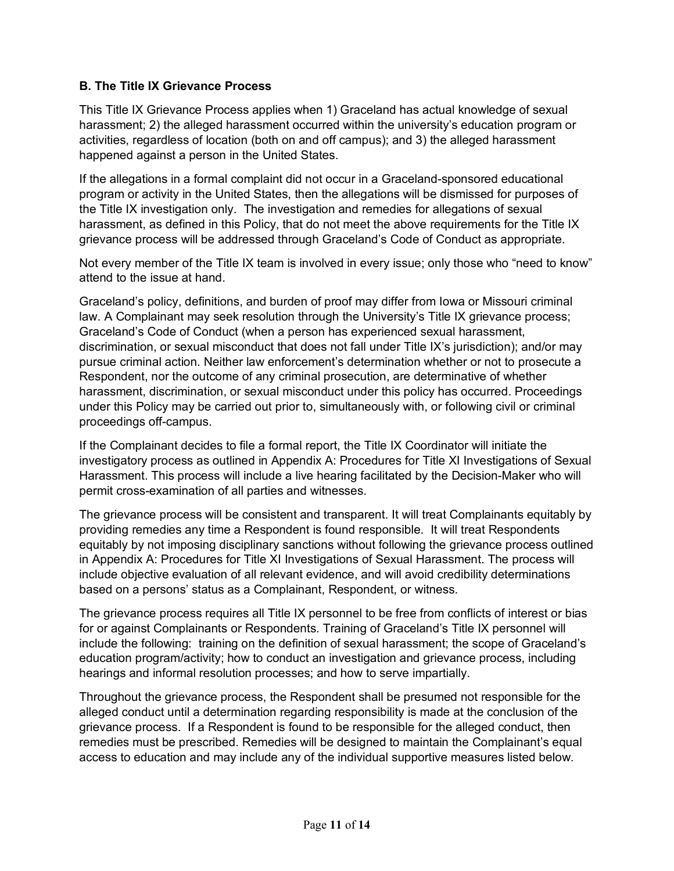### **B. The Title IX Grievance Process**

This Title IX Grievance Process applies when 1) Graceland has actual knowledge of sexual harassment; 2) the alleged harassment occurred within the university's education program or activities, regardless of location (both on and off campus); and 3) the alleged harassment happened against a person in the United States.

If the allegations in a formal complaint did not occur in a Graceland-sponsored educational program or activity in the United States, then the allegations will be dismissed for purposes of the Title IX investigation only. The investigation and remedies for allegations of sexual harassment, as defined in this Policy, that do not meet the above requirements for the Title IX grievance process will be addressed through Graceland's Code of Conduct as appropriate.

Not every member of the Title IX team is involved in every issue; only those who "need to know" attend to the issue at hand.

Graceland's policy, definitions, and burden of proof may differ from Iowa or Missouri criminal law. A Complainant may seek resolution through the University's Title IX grievance process; Graceland's Code of Conduct (when a person has experienced sexual harassment, discrimination, or sexual misconduct that does not fall under Title IX's jurisdiction); and/or may pursue criminal action. Neither law enforcement's determination whether or not to prosecute a Respondent, nor the outcome of any criminal prosecution, are determinative of whether harassment, discrimination, or sexual misconduct under this policy has occurred. Proceedings under this Policy may be carried out prior to, simultaneously with, or following civil or criminal proceedings off-campus.

If the Complainant decides to file a formal report, the Title IX Coordinator will initiate the investigatory process as outlined in Appendix A: Procedures for Title XI Investigations of Sexual Harassment. This process will include a live hearing facilitated by the Decision-Maker who will permit cross-examination of all parties and witnesses.

The grievance process will be consistent and transparent. It will treat Complainants equitably by providing remedies any time a Respondent is found responsible. It will treat Respondents equitably by not imposing disciplinary sanctions without following the grievance process outlined in Appendix A: Procedures for Title XI Investigations of Sexual Harassment. The process will include objective evaluation of all relevant evidence, and will avoid credibility determinations based on a persons' status as a Complainant, Respondent, or witness.

The grievance process requires all Title IX personnel to be free from conflicts of interest or bias for or against Complainants or Respondents. Training of Graceland's Title IX personnel will include the following: training on the definition of sexual harassment; the scope of Graceland's education program/activity; how to conduct an investigation and grievance process, including hearings and informal resolution processes; and how to serve impartially.

Throughout the grievance process, the Respondent shall be presumed not responsible for the alleged conduct until a determination regarding responsibility is made at the conclusion of the grievance process. If a Respondent is found to be responsible for the alleged conduct, then remedies must be prescribed. Remedies will be designed to maintain the Complainant's equal access to education and may include any of the individual supportive measures listed below.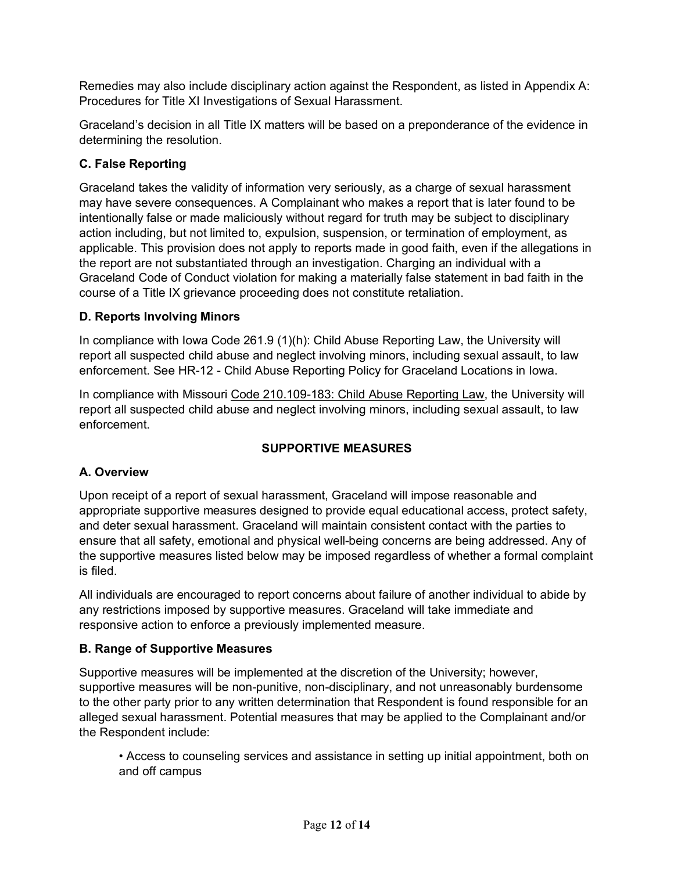Remedies may also include disciplinary action against the Respondent, as listed in Appendix A: Procedures for Title XI Investigations of Sexual Harassment.

Graceland's decision in all Title IX matters will be based on a preponderance of the evidence in determining the resolution.

# **C. False Reporting**

Graceland takes the validity of information very seriously, as a charge of sexual harassment may have severe consequences. A Complainant who makes a report that is later found to be intentionally false or made maliciously without regard for truth may be subject to disciplinary action including, but not limited to, expulsion, suspension, or termination of employment, as applicable. This provision does not apply to reports made in good faith, even if the allegations in the report are not substantiated through an investigation. Charging an individual with a Graceland Code of Conduct violation for making a materially false statement in bad faith in the course of a Title IX grievance proceeding does not constitute retaliation.

# **D. Reports Involving Minors**

In compliance with Iowa Code 261.9 (1)(h): Child Abuse Reporting Law, the University will report all suspected child abuse and neglect involving minors, including sexual assault, to law enforcement. See HR-12 - Child Abuse Reporting Policy for Graceland Locations in Iowa.

In compliance with Missouri Code 210.109-183: Child Abuse Reporting Law, the University will report all suspected child abuse and neglect involving minors, including sexual assault, to law enforcement.

# **SUPPORTIVE MEASURES**

# **A. Overview**

Upon receipt of a report of sexual harassment, Graceland will impose reasonable and appropriate supportive measures designed to provide equal educational access, protect safety, and deter sexual harassment. Graceland will maintain consistent contact with the parties to ensure that all safety, emotional and physical well-being concerns are being addressed. Any of the supportive measures listed below may be imposed regardless of whether a formal complaint is filed.

All individuals are encouraged to report concerns about failure of another individual to abide by any restrictions imposed by supportive measures. Graceland will take immediate and responsive action to enforce a previously implemented measure.

# **B. Range of Supportive Measures**

Supportive measures will be implemented at the discretion of the University; however, supportive measures will be non-punitive, non-disciplinary, and not unreasonably burdensome to the other party prior to any written determination that Respondent is found responsible for an alleged sexual harassment. Potential measures that may be applied to the Complainant and/or the Respondent include:

• Access to counseling services and assistance in setting up initial appointment, both on and off campus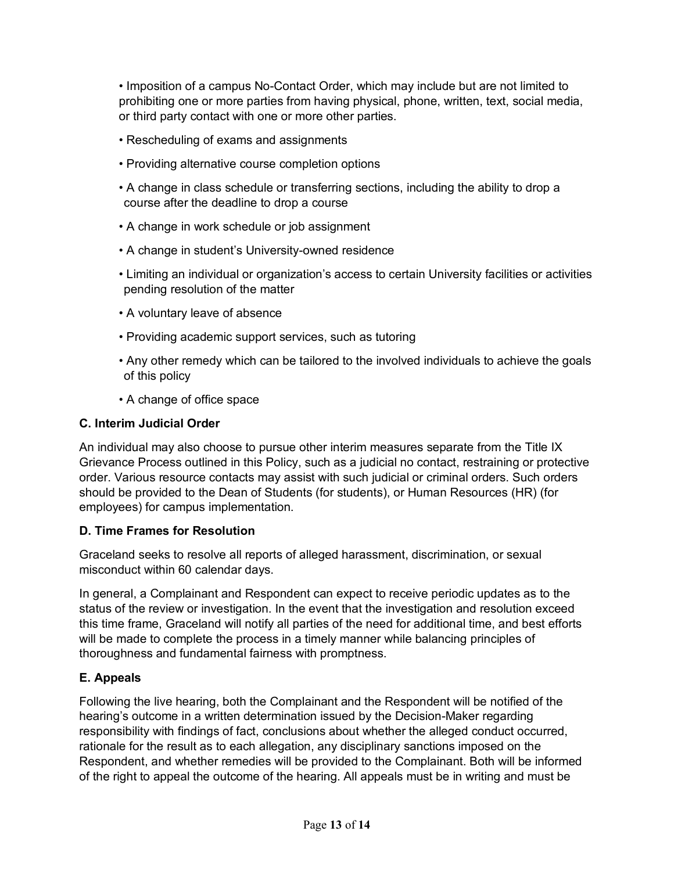• Imposition of a campus No-Contact Order, which may include but are not limited to prohibiting one or more parties from having physical, phone, written, text, social media, or third party contact with one or more other parties.

- Rescheduling of exams and assignments
- Providing alternative course completion options
- A change in class schedule or transferring sections, including the ability to drop a course after the deadline to drop a course
- A change in work schedule or job assignment
- A change in student's University-owned residence
- Limiting an individual or organization's access to certain University facilities or activities pending resolution of the matter
- A voluntary leave of absence
- Providing academic support services, such as tutoring
- Any other remedy which can be tailored to the involved individuals to achieve the goals of this policy
- A change of office space

### **C. Interim Judicial Order**

An individual may also choose to pursue other interim measures separate from the Title IX Grievance Process outlined in this Policy, such as a judicial no contact, restraining or protective order. Various resource contacts may assist with such judicial or criminal orders. Such orders should be provided to the Dean of Students (for students), or Human Resources (HR) (for employees) for campus implementation.

### **D. Time Frames for Resolution**

Graceland seeks to resolve all reports of alleged harassment, discrimination, or sexual misconduct within 60 calendar days.

In general, a Complainant and Respondent can expect to receive periodic updates as to the status of the review or investigation. In the event that the investigation and resolution exceed this time frame, Graceland will notify all parties of the need for additional time, and best efforts will be made to complete the process in a timely manner while balancing principles of thoroughness and fundamental fairness with promptness.

### **E. Appeals**

Following the live hearing, both the Complainant and the Respondent will be notified of the hearing's outcome in a written determination issued by the Decision-Maker regarding responsibility with findings of fact, conclusions about whether the alleged conduct occurred, rationale for the result as to each allegation, any disciplinary sanctions imposed on the Respondent, and whether remedies will be provided to the Complainant. Both will be informed of the right to appeal the outcome of the hearing. All appeals must be in writing and must be